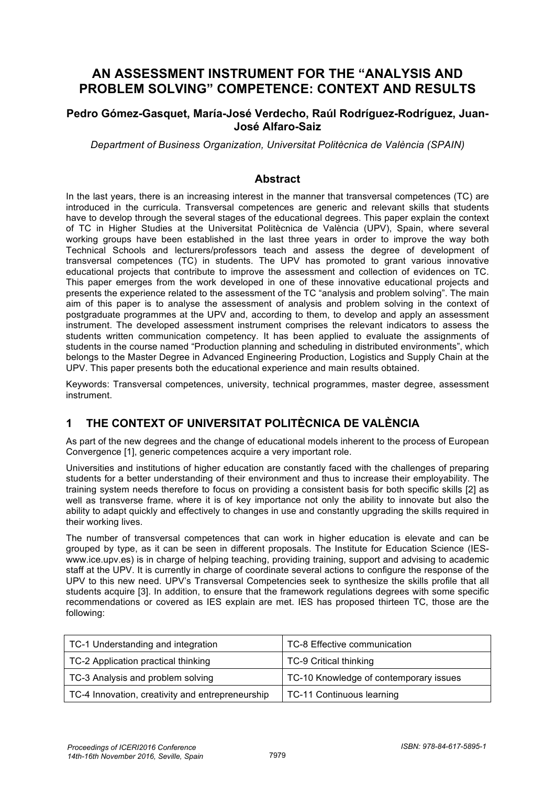# **AN ASSESSMENT INSTRUMENT FOR THE "ANALYSIS AND PROBLEM SOLVING" COMPETENCE: CONTEXT AND RESULTS**

### **Pedro Gómez-Gasquet, María-José Verdecho, Raúl Rodríguez-Rodríguez, Juan-José Alfaro-Saiz**

*Department of Business Organization, Universitat Politècnica de València (SPAIN)* 

### **Abstract**

In the last years, there is an increasing interest in the manner that transversal competences (TC) are introduced in the curricula. Transversal competences are generic and relevant skills that students have to develop through the several stages of the educational degrees. This paper explain the context of TC in Higher Studies at the Universitat Politècnica de València (UPV), Spain, where several working groups have been established in the last three years in order to improve the way both Technical Schools and lecturers/professors teach and assess the degree of development of transversal competences (TC) in students. The UPV has promoted to grant various innovative educational projects that contribute to improve the assessment and collection of evidences on TC. This paper emerges from the work developed in one of these innovative educational projects and presents the experience related to the assessment of the TC "analysis and problem solving". The main aim of this paper is to analyse the assessment of analysis and problem solving in the context of postgraduate programmes at the UPV and, according to them, to develop and apply an assessment instrument. The developed assessment instrument comprises the relevant indicators to assess the students written communication competency. It has been applied to evaluate the assignments of students in the course named "Production planning and scheduling in distributed environments", which belongs to the Master Degree in Advanced Engineering Production, Logistics and Supply Chain at the UPV. This paper presents both the educational experience and main results obtained.

Keywords: Transversal competences, university, technical programmes, master degree, assessment instrument.

## **1 THE CONTEXT OF UNIVERSITAT POLITÈCNICA DE VALÈNCIA**

As part of the new degrees and the change of educational models inherent to the process of European Convergence [1], generic competences acquire a very important role.

Universities and institutions of higher education are constantly faced with the challenges of preparing students for a better understanding of their environment and thus to increase their employability. The training system needs therefore to focus on providing a consistent basis for both specific skills [2] as well as transverse frame, where it is of key importance not only the ability to innovate but also the ability to adapt quickly and effectively to changes in use and constantly upgrading the skills required in their working lives.

The number of transversal competences that can work in higher education is elevate and can be grouped by type, as it can be seen in different proposals. The Institute for Education Science (IESwww.ice.upv.es) is in charge of helping teaching, providing training, support and advising to academic staff at the UPV. It is currently in charge of coordinate several actions to configure the response of the UPV to this new need. UPV's Transversal Competencies seek to synthesize the skills profile that all students acquire [3]. In addition, to ensure that the framework regulations degrees with some specific recommendations or covered as IES explain are met. IES has proposed thirteen TC, those are the following:

| TC-1 Understanding and integration               | TC-8 Effective communication           |
|--------------------------------------------------|----------------------------------------|
| TC-2 Application practical thinking              | TC-9 Critical thinking                 |
| TC-3 Analysis and problem solving                | TC-10 Knowledge of contemporary issues |
| TC-4 Innovation, creativity and entrepreneurship | TC-11 Continuous learning              |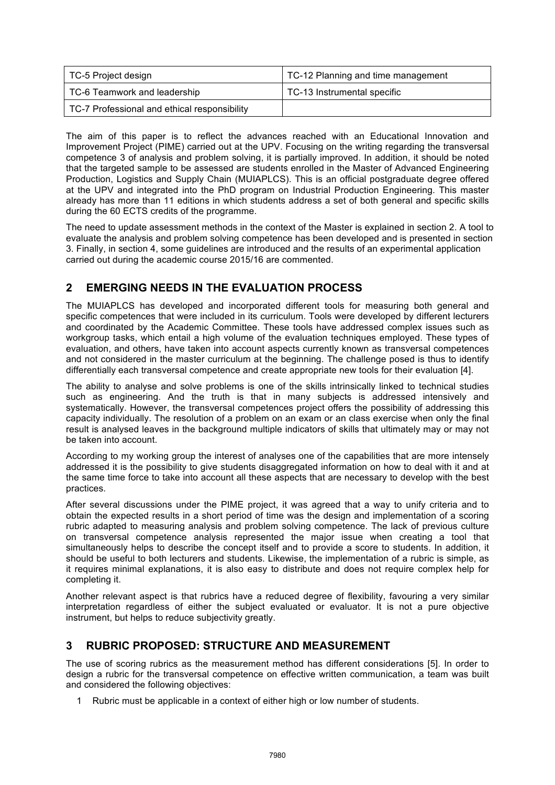| TC-5 Project design                          | TC-12 Planning and time management |  |  |  |
|----------------------------------------------|------------------------------------|--|--|--|
| TC-6 Teamwork and leadership                 | TC-13 Instrumental specific        |  |  |  |
| TC-7 Professional and ethical responsibility |                                    |  |  |  |

The aim of this paper is to reflect the advances reached with an Educational Innovation and Improvement Project (PIME) carried out at the UPV. Focusing on the writing regarding the transversal competence 3 of analysis and problem solving, it is partially improved. In addition, it should be noted that the targeted sample to be assessed are students enrolled in the Master of Advanced Engineering Production, Logistics and Supply Chain (MUIAPLCS). This is an official postgraduate degree offered at the UPV and integrated into the PhD program on Industrial Production Engineering. This master already has more than 11 editions in which students address a set of both general and specific skills during the 60 ECTS credits of the programme.

The need to update assessment methods in the context of the Master is explained in section 2. A tool to evaluate the analysis and problem solving competence has been developed and is presented in section 3. Finally, in section 4, some guidelines are introduced and the results of an experimental application carried out during the academic course 2015/16 are commented.

# **2 EMERGING NEEDS IN THE EVALUATION PROCESS**

The MUIAPLCS has developed and incorporated different tools for measuring both general and specific competences that were included in its curriculum. Tools were developed by different lecturers and coordinated by the Academic Committee. These tools have addressed complex issues such as workgroup tasks, which entail a high volume of the evaluation techniques employed. These types of evaluation, and others, have taken into account aspects currently known as transversal competences and not considered in the master curriculum at the beginning. The challenge posed is thus to identify differentially each transversal competence and create appropriate new tools for their evaluation [4].

The ability to analyse and solve problems is one of the skills intrinsically linked to technical studies such as engineering. And the truth is that in many subjects is addressed intensively and systematically. However, the transversal competences project offers the possibility of addressing this capacity individually. The resolution of a problem on an exam or an class exercise when only the final result is analysed leaves in the background multiple indicators of skills that ultimately may or may not be taken into account.

According to my working group the interest of analyses one of the capabilities that are more intensely addressed it is the possibility to give students disaggregated information on how to deal with it and at the same time force to take into account all these aspects that are necessary to develop with the best practices.

After several discussions under the PIME project, it was agreed that a way to unify criteria and to obtain the expected results in a short period of time was the design and implementation of a scoring rubric adapted to measuring analysis and problem solving competence. The lack of previous culture on transversal competence analysis represented the major issue when creating a tool that simultaneously helps to describe the concept itself and to provide a score to students. In addition, it should be useful to both lecturers and students. Likewise, the implementation of a rubric is simple, as it requires minimal explanations, it is also easy to distribute and does not require complex help for completing it.

Another relevant aspect is that rubrics have a reduced degree of flexibility, favouring a very similar interpretation regardless of either the subject evaluated or evaluator. It is not a pure objective instrument, but helps to reduce subjectivity greatly.

## **3 RUBRIC PROPOSED: STRUCTURE AND MEASUREMENT**

The use of scoring rubrics as the measurement method has different considerations [5]. In order to design a rubric for the transversal competence on effective written communication, a team was built and considered the following objectives:

1 Rubric must be applicable in a context of either high or low number of students.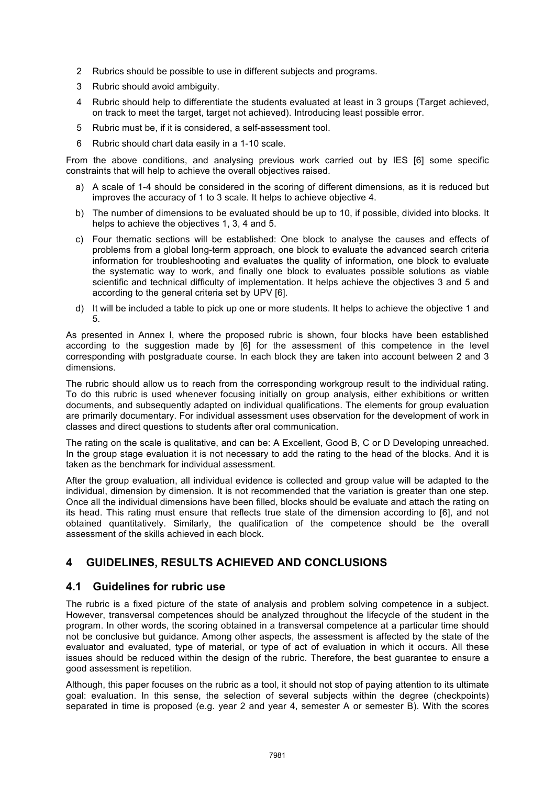- 2 Rubrics should be possible to use in different subjects and programs.
- 3 Rubric should avoid ambiguity.
- 4 Rubric should help to differentiate the students evaluated at least in 3 groups (Target achieved, on track to meet the target, target not achieved). Introducing least possible error.
- 5 Rubric must be, if it is considered, a self-assessment tool.
- 6 Rubric should chart data easily in a 1-10 scale.

From the above conditions, and analysing previous work carried out by IES [6] some specific constraints that will help to achieve the overall objectives raised.

- a) A scale of 1-4 should be considered in the scoring of different dimensions, as it is reduced but improves the accuracy of 1 to 3 scale. It helps to achieve objective 4.
- b) The number of dimensions to be evaluated should be up to 10, if possible, divided into blocks. It helps to achieve the objectives 1, 3, 4 and 5.
- c) Four thematic sections will be established: One block to analyse the causes and effects of problems from a global long-term approach, one block to evaluate the advanced search criteria information for troubleshooting and evaluates the quality of information, one block to evaluate the systematic way to work, and finally one block to evaluates possible solutions as viable scientific and technical difficulty of implementation. It helps achieve the objectives 3 and 5 and according to the general criteria set by UPV [6].
- d) It will be included a table to pick up one or more students. It helps to achieve the objective 1 and 5.

As presented in Annex I, where the proposed rubric is shown, four blocks have been established according to the suggestion made by [6] for the assessment of this competence in the level corresponding with postgraduate course. In each block they are taken into account between 2 and 3 dimensions.

The rubric should allow us to reach from the corresponding workgroup result to the individual rating. To do this rubric is used whenever focusing initially on group analysis, either exhibitions or written documents, and subsequently adapted on individual qualifications. The elements for group evaluation are primarily documentary. For individual assessment uses observation for the development of work in classes and direct questions to students after oral communication.

The rating on the scale is qualitative, and can be: A Excellent, Good B, C or D Developing unreached. In the group stage evaluation it is not necessary to add the rating to the head of the blocks. And it is taken as the benchmark for individual assessment.

After the group evaluation, all individual evidence is collected and group value will be adapted to the individual, dimension by dimension. It is not recommended that the variation is greater than one step. Once all the individual dimensions have been filled, blocks should be evaluate and attach the rating on its head. This rating must ensure that reflects true state of the dimension according to [6], and not obtained quantitatively. Similarly, the qualification of the competence should be the overall assessment of the skills achieved in each block.

## **4 GUIDELINES, RESULTS ACHIEVED AND CONCLUSIONS**

#### **4.1 Guidelines for rubric use**

The rubric is a fixed picture of the state of analysis and problem solving competence in a subject. However, transversal competences should be analyzed throughout the lifecycle of the student in the program. In other words, the scoring obtained in a transversal competence at a particular time should not be conclusive but guidance. Among other aspects, the assessment is affected by the state of the evaluator and evaluated, type of material, or type of act of evaluation in which it occurs. All these issues should be reduced within the design of the rubric. Therefore, the best guarantee to ensure a good assessment is repetition.

Although, this paper focuses on the rubric as a tool, it should not stop of paying attention to its ultimate goal: evaluation. In this sense, the selection of several subjects within the degree (checkpoints) separated in time is proposed (e.g. year 2 and year 4, semester A or semester B). With the scores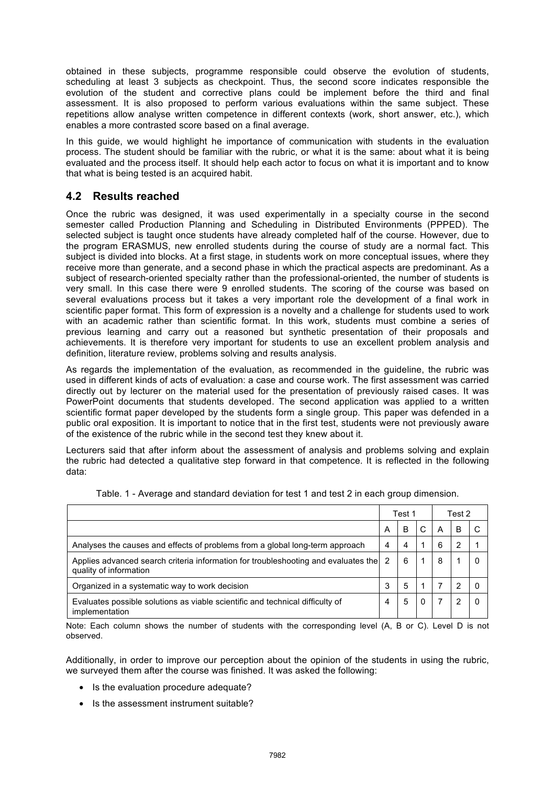obtained in these subjects, programme responsible could observe the evolution of students, scheduling at least 3 subjects as checkpoint. Thus, the second score indicates responsible the evolution of the student and corrective plans could be implement before the third and final assessment. It is also proposed to perform various evaluations within the same subject. These repetitions allow analyse written competence in different contexts (work, short answer, etc.), which enables a more contrasted score based on a final average.

In this guide, we would highlight he importance of communication with students in the evaluation process. The student should be familiar with the rubric, or what it is the same: about what it is being evaluated and the process itself. It should help each actor to focus on what it is important and to know that what is being tested is an acquired habit.

## **4.2 Results reached**

Once the rubric was designed, it was used experimentally in a specialty course in the second semester called Production Planning and Scheduling in Distributed Environments (PPPED). The selected subject is taught once students have already completed half of the course. However, due to the program ERASMUS, new enrolled students during the course of study are a normal fact. This subject is divided into blocks. At a first stage, in students work on more conceptual issues, where they receive more than generate, and a second phase in which the practical aspects are predominant. As a subject of research-oriented specialty rather than the professional-oriented, the number of students is very small. In this case there were 9 enrolled students. The scoring of the course was based on several evaluations process but it takes a very important role the development of a final work in scientific paper format. This form of expression is a novelty and a challenge for students used to work with an academic rather than scientific format. In this work, students must combine a series of previous learning and carry out a reasoned but synthetic presentation of their proposals and achievements. It is therefore very important for students to use an excellent problem analysis and definition, literature review, problems solving and results analysis.

As regards the implementation of the evaluation, as recommended in the guideline, the rubric was used in different kinds of acts of evaluation: a case and course work. The first assessment was carried directly out by lecturer on the material used for the presentation of previously raised cases. It was PowerPoint documents that students developed. The second application was applied to a written scientific format paper developed by the students form a single group. This paper was defended in a public oral exposition. It is important to notice that in the first test, students were not previously aware of the existence of the rubric while in the second test they knew about it.

Lecturers said that after inform about the assessment of analysis and problems solving and explain the rubric had detected a qualitative step forward in that competence. It is reflected in the following data:

|                                                                                                              | Test 1 |   | Test 2 |   |   |  |
|--------------------------------------------------------------------------------------------------------------|--------|---|--------|---|---|--|
|                                                                                                              | A      | B | C      | A | B |  |
| Analyses the causes and effects of problems from a global long-term approach                                 | 4      | 4 |        | 6 | 2 |  |
| Applies advanced search criteria information for troubleshooting and evaluates the<br>quality of information | 2      | 6 |        | 8 |   |  |
| Organized in a systematic way to work decision                                                               | 3      | 5 |        |   |   |  |
| Evaluates possible solutions as viable scientific and technical difficulty of<br>implementation              |        | 5 | 0      |   |   |  |

Table. 1 - Average and standard deviation for test 1 and test 2 in each group dimension.

Note: Each column shows the number of students with the corresponding level (A, B or C). Level D is not observed.

Additionally, in order to improve our perception about the opinion of the students in using the rubric, we surveyed them after the course was finished. It was asked the following:

- Is the evaluation procedure adequate?
- Is the assessment instrument suitable?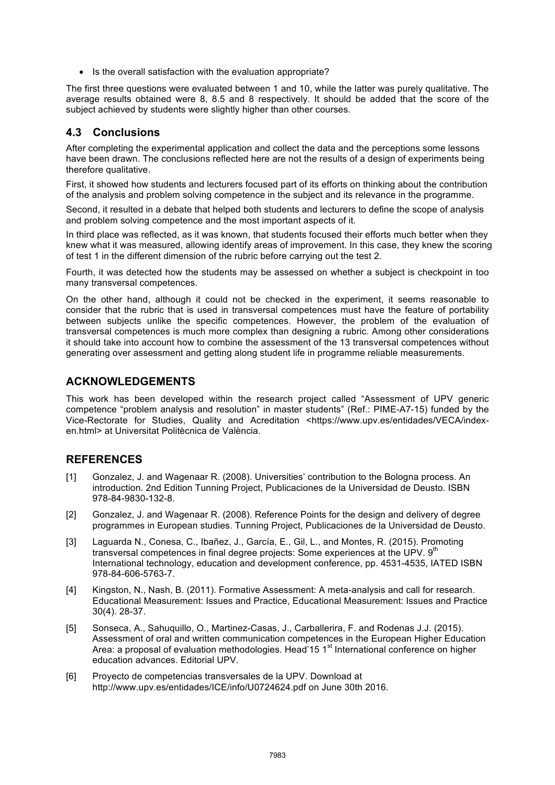• Is the overall satisfaction with the evaluation appropriate?

The first three questions were evaluated between 1 and 10, while the latter was purely qualitative. The average results obtained were 8, 8.5 and 8 respectively. It should be added that the score of the subject achieved by students were slightly higher than other courses.

### **4.3 Conclusions**

After completing the experimental application and collect the data and the perceptions some lessons have been drawn. The conclusions reflected here are not the results of a design of experiments being therefore qualitative.

First, it showed how students and lecturers focused part of its efforts on thinking about the contribution of the analysis and problem solving competence in the subject and its relevance in the programme.

Second, it resulted in a debate that helped both students and lecturers to define the scope of analysis and problem solving competence and the most important aspects of it.

In third place was reflected, as it was known, that students focused their efforts much better when they knew what it was measured, allowing identify areas of improvement. In this case, they knew the scoring of test 1 in the different dimension of the rubric before carrying out the test 2.

Fourth, it was detected how the students may be assessed on whether a subject is checkpoint in too many transversal competences.

On the other hand, although it could not be checked in the experiment, it seems reasonable to consider that the rubric that is used in transversal competences must have the feature of portability between subjects unlike the specific competences. However, the problem of the evaluation of transversal competences is much more complex than designing a rubric. Among other considerations it should take into account how to combine the assessment of the 13 transversal competences without generating over assessment and getting along student life in programme reliable measurements.

### **ACKNOWLEDGEMENTS**

This work has been developed within the research project called "Assessment of UPV generic competence "problem analysis and resolution" in master students" (Ref.: PIME-A7-15) funded by the Vice-Rectorate for Studies, Quality and Acreditation <https://www.upv.es/entidades/VECA/indexen.html> at Universitat Politècnica de València.

#### **REFERENCES**

- [1] Gonzalez, J. and Wagenaar R. (2008). Universities' contribution to the Bologna process. An introduction. 2nd Edition Tunning Project, Publicaciones de la Universidad de Deusto. ISBN 978-84-9830-132-8.
- [2] Gonzalez, J. and Wagenaar R. (2008). Reference Points for the design and delivery of degree programmes in European studies. Tunning Project, Publicaciones de la Universidad de Deusto.
- [3] Laguarda N., Conesa, C., Ibañez, J., García, E., Gil, L., and Montes, R. (2015). Promoting transversal competences in final degree projects: Some experiences at the UPV.  $9<sup>th</sup>$ International technology, education and development conference, pp. 4531-4535, IATED ISBN 978-84-606-5763-7.
- [4] Kingston, N., Nash, B. (2011). Formative Assessment: A meta-analysis and call for research. Educational Measurement: Issues and Practice, Educational Measurement: Issues and Practice 30(4). 28-37.
- [5] Sonseca, A., Sahuquillo, O., Martinez-Casas, J., Carballerira, F. and Rodenas J.J. (2015). Assessment of oral and written communication competences in the European Higher Education Area: a proposal of evaluation methodologies. Head'15 1<sup>st</sup> International conference on higher education advances. Editorial UPV.
- [6] Proyecto de competencias transversales de la UPV. Download at http://www.upv.es/entidades/ICE/info/U0724624.pdf on June 30th 2016.